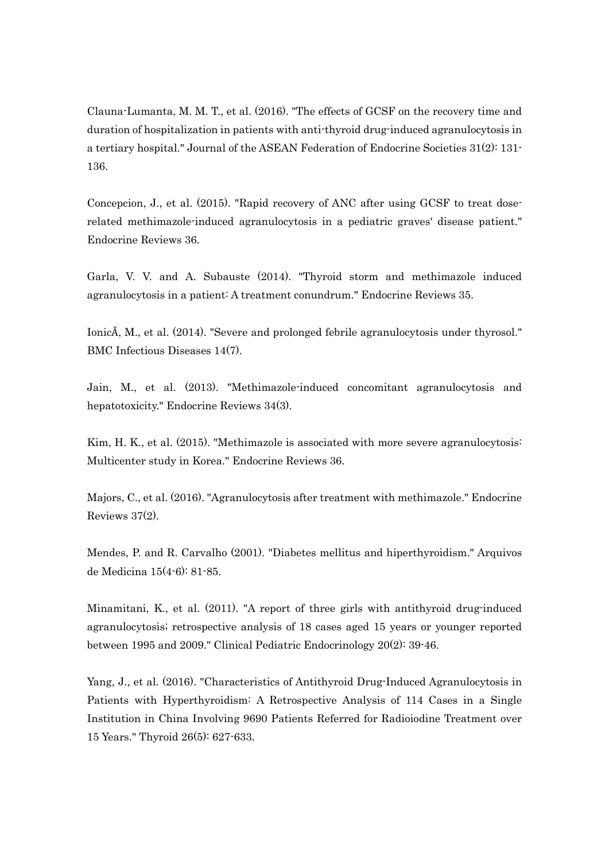Clauna-Lumanta, M. M. T., et al. (2016). "The effects of GCSF on the recovery time and duration of hospitalization in patients with anti-thyroid drug-induced agranulocytosis in a tertiary hospital." Journal of the ASEAN Federation of Endocrine Societies 31(2): 131- 136.

Concepcion, J., et al. (2015). "Rapid recovery of ANC after using GCSF to treat doserelated methimazole-induced agranulocytosis in a pediatric graves' disease patient." Endocrine Reviews 36.

Garla, V. V. and A. Subauste (2014). "Thyroid storm and methimazole induced agranulocytosis in a patient: A treatment conundrum." Endocrine Reviews 35.

IonicǍ, M., et al. (2014). "Severe and prolonged febrile agranulocytosis under thyrosol." BMC Infectious Diseases 14(7).

Jain, M., et al. (2013). "Methimazole-induced concomitant agranulocytosis and hepatotoxicity." Endocrine Reviews 34(3).

Kim, H. K., et al. (2015). "Methimazole is associated with more severe agranulocytosis: Multicenter study in Korea." Endocrine Reviews 36.

Majors, C., et al. (2016). "Agranulocytosis after treatment with methimazole." Endocrine Reviews 37(2).

Mendes, P. and R. Carvalho (2001). "Diabetes mellitus and hiperthyroidism." Arquivos de Medicina 15(4-6): 81-85.

Minamitani, K., et al. (2011). "A report of three girls with antithyroid drug-induced agranulocytosis; retrospective analysis of 18 cases aged 15 years or younger reported between 1995 and 2009." Clinical Pediatric Endocrinology 20(2): 39-46.

Yang, J., et al. (2016). "Characteristics of Antithyroid Drug-Induced Agranulocytosis in Patients with Hyperthyroidism: A Retrospective Analysis of 114 Cases in a Single Institution in China Involving 9690 Patients Referred for Radioiodine Treatment over 15 Years." Thyroid 26(5): 627-633.